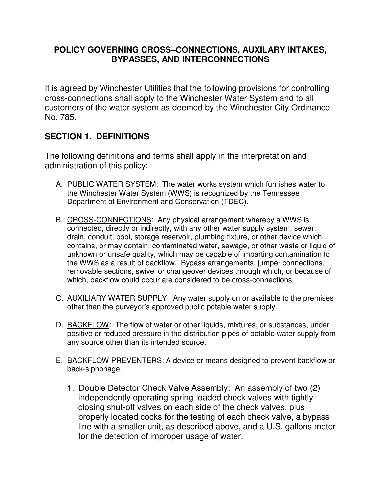#### **POLICY GOVERNING CROSS–CONNECTIONS, AUXILARY INTAKES, BYPASSES, AND INTERCONNECTIONS**

It is agreed by Winchester Utilities that the following provisions for controlling cross-connections shall apply to the Winchester Water System and to all customers of the water system as deemed by the Winchester City Ordinance No. 785.

### **SECTION 1. DEFINITIONS**

The following definitions and terms shall apply in the interpretation and administration of this policy:

- A. PUBLIC WATER SYSTEM: The water works system which furnishes water to the Winchester Water System (WWS) is recognized by the Tennessee Department of Environment and Conservation (TDEC).
- B. CROSS-CONNECTIONS: Any physical arrangement whereby a WWS is connected, directly or indirectly, with any other water supply system, sewer, drain, conduit, pool, storage reservoir, plumbing fixture, or other device which contains, or may contain, contaminated water, sewage, or other waste or liquid of unknown or unsafe quality, which may be capable of imparting contamination to the WWS as a result of backflow. Bypass arrangements, jumper connections, removable sections, swivel or changeover devices through which, or because of which, backflow could occur are considered to be cross-connections.
- C. AUXILIARY WATER SUPPLY: Any water supply on or available to the premises other than the purveyor's approved public potable water supply.
- D. **BACKFLOW**: The flow of water or other liquids, mixtures, or substances, under positive or reduced pressure in the distribution pipes of potable water supply from any source other than its intended source.
- E. BACKFLOW PREVENTERS: A device or means designed to prevent backflow or back-siphonage.
	- 1. Double Detector Check Valve Assembly: An assembly of two (2) independently operating spring-loaded check valves with tightly closing shut-off valves on each side of the check valves, plus properly located cocks for the testing of each check valve, a bypass line with a smaller unit, as described above, and a U.S. gallons meter for the detection of improper usage of water.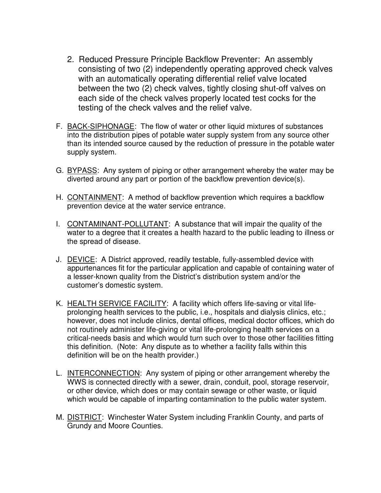- 2. Reduced Pressure Principle Backflow Preventer: An assembly consisting of two (2) independently operating approved check valves with an automatically operating differential relief valve located between the two (2) check valves, tightly closing shut-off valves on each side of the check valves properly located test cocks for the testing of the check valves and the relief valve.
- F. BACK-SIPHONAGE: The flow of water or other liquid mixtures of substances into the distribution pipes of potable water supply system from any source other than its intended source caused by the reduction of pressure in the potable water supply system.
- G. BYPASS: Any system of piping or other arrangement whereby the water may be diverted around any part or portion of the backflow prevention device(s).
- H. CONTAINMENT: A method of backflow prevention which requires a backflow prevention device at the water service entrance.
- I. CONTAMINANT-POLLUTANT: A substance that will impair the quality of the water to a degree that it creates a health hazard to the public leading to illness or the spread of disease.
- J. DEVICE: A District approved, readily testable, fully-assembled device with appurtenances fit for the particular application and capable of containing water of a lesser-known quality from the District's distribution system and/or the customer's domestic system.
- K. HEALTH SERVICE FACILITY: A facility which offers life-saving or vital lifeprolonging health services to the public, i.e., hospitals and dialysis clinics, etc.; however, does not include clinics, dental offices, medical doctor offices, which do not routinely administer life-giving or vital life-prolonging health services on a critical-needs basis and which would turn such over to those other facilities fitting this definition. (Note: Any dispute as to whether a facility falls within this definition will be on the health provider.)
- L. INTERCONNECTION: Any system of piping or other arrangement whereby the WWS is connected directly with a sewer, drain, conduit, pool, storage reservoir, or other device, which does or may contain sewage or other waste, or liquid which would be capable of imparting contamination to the public water system.
- M. **DISTRICT:** Winchester Water System including Franklin County, and parts of Grundy and Moore Counties.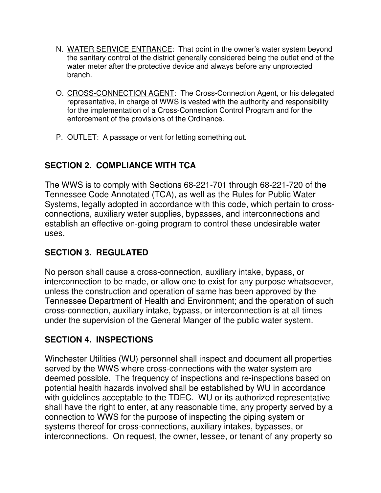- N. WATER SERVICE ENTRANCE: That point in the owner's water system beyond the sanitary control of the district generally considered being the outlet end of the water meter after the protective device and always before any unprotected branch.
- O. CROSS-CONNECTION AGENT: The Cross-Connection Agent, or his delegated representative, in charge of WWS is vested with the authority and responsibility for the implementation of a Cross-Connection Control Program and for the enforcement of the provisions of the Ordinance.
- P. OUTLET: A passage or vent for letting something out.

# **SECTION 2. COMPLIANCE WITH TCA**

The WWS is to comply with Sections 68-221-701 through 68-221-720 of the Tennessee Code Annotated (TCA), as well as the Rules for Public Water Systems, legally adopted in accordance with this code, which pertain to crossconnections, auxiliary water supplies, bypasses, and interconnections and establish an effective on-going program to control these undesirable water uses.

# **SECTION 3. REGULATED**

No person shall cause a cross-connection, auxiliary intake, bypass, or interconnection to be made, or allow one to exist for any purpose whatsoever, unless the construction and operation of same has been approved by the Tennessee Department of Health and Environment; and the operation of such cross-connection, auxiliary intake, bypass, or interconnection is at all times under the supervision of the General Manger of the public water system.

# **SECTION 4. INSPECTIONS**

Winchester Utilities (WU) personnel shall inspect and document all properties served by the WWS where cross-connections with the water system are deemed possible. The frequency of inspections and re-inspections based on potential health hazards involved shall be established by WU in accordance with quidelines acceptable to the TDEC. WU or its authorized representative shall have the right to enter, at any reasonable time, any property served by a connection to WWS for the purpose of inspecting the piping system or systems thereof for cross-connections, auxiliary intakes, bypasses, or interconnections. On request, the owner, lessee, or tenant of any property so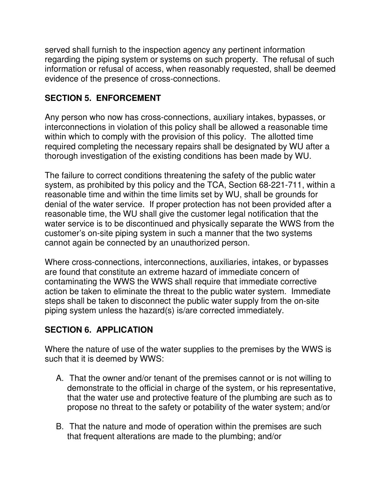served shall furnish to the inspection agency any pertinent information regarding the piping system or systems on such property. The refusal of such information or refusal of access, when reasonably requested, shall be deemed evidence of the presence of cross-connections.

## **SECTION 5. ENFORCEMENT**

Any person who now has cross-connections, auxiliary intakes, bypasses, or interconnections in violation of this policy shall be allowed a reasonable time within which to comply with the provision of this policy. The allotted time required completing the necessary repairs shall be designated by WU after a thorough investigation of the existing conditions has been made by WU.

The failure to correct conditions threatening the safety of the public water system, as prohibited by this policy and the TCA, Section 68-221-711, within a reasonable time and within the time limits set by WU, shall be grounds for denial of the water service. If proper protection has not been provided after a reasonable time, the WU shall give the customer legal notification that the water service is to be discontinued and physically separate the WWS from the customer's on-site piping system in such a manner that the two systems cannot again be connected by an unauthorized person.

Where cross-connections, interconnections, auxiliaries, intakes, or bypasses are found that constitute an extreme hazard of immediate concern of contaminating the WWS the WWS shall require that immediate corrective action be taken to eliminate the threat to the public water system. Immediate steps shall be taken to disconnect the public water supply from the on-site piping system unless the hazard(s) is/are corrected immediately.

## **SECTION 6. APPLICATION**

Where the nature of use of the water supplies to the premises by the WWS is such that it is deemed by WWS:

- A. That the owner and/or tenant of the premises cannot or is not willing to demonstrate to the official in charge of the system, or his representative, that the water use and protective feature of the plumbing are such as to propose no threat to the safety or potability of the water system; and/or
- B. That the nature and mode of operation within the premises are such that frequent alterations are made to the plumbing; and/or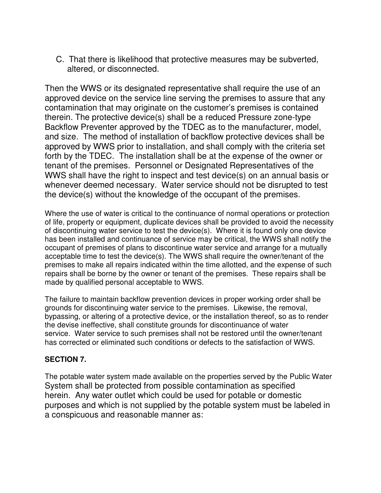C. That there is likelihood that protective measures may be subverted, altered, or disconnected.

Then the WWS or its designated representative shall require the use of an approved device on the service line serving the premises to assure that any contamination that may originate on the customer's premises is contained therein. The protective device(s) shall be a reduced Pressure zone-type Backflow Preventer approved by the TDEC as to the manufacturer, model, and size. The method of installation of backflow protective devices shall be approved by WWS prior to installation, and shall comply with the criteria set forth by the TDEC. The installation shall be at the expense of the owner or tenant of the premises. Personnel or Designated Representatives of the WWS shall have the right to inspect and test device(s) on an annual basis or whenever deemed necessary. Water service should not be disrupted to test the device(s) without the knowledge of the occupant of the premises.

Where the use of water is critical to the continuance of normal operations or protection of life, property or equipment, duplicate devices shall be provided to avoid the necessity of discontinuing water service to test the device(s). Where it is found only one device has been installed and continuance of service may be critical, the WWS shall notify the occupant of premises of plans to discontinue water service and arrange for a mutually acceptable time to test the device(s). The WWS shall require the owner/tenant of the premises to make all repairs indicated within the time allotted, and the expense of such repairs shall be borne by the owner or tenant of the premises. These repairs shall be made by qualified personal acceptable to WWS.

The failure to maintain backflow prevention devices in proper working order shall be grounds for discontinuing water service to the premises. Likewise, the removal, bypassing, or altering of a protective device, or the installation thereof, so as to render the devise ineffective, shall constitute grounds for discontinuance of water service. Water service to such premises shall not be restored until the owner/tenant has corrected or eliminated such conditions or defects to the satisfaction of WWS.

#### **SECTION 7.**

The potable water system made available on the properties served by the Public Water System shall be protected from possible contamination as specified herein. Any water outlet which could be used for potable or domestic purposes and which is not supplied by the potable system must be labeled in a conspicuous and reasonable manner as: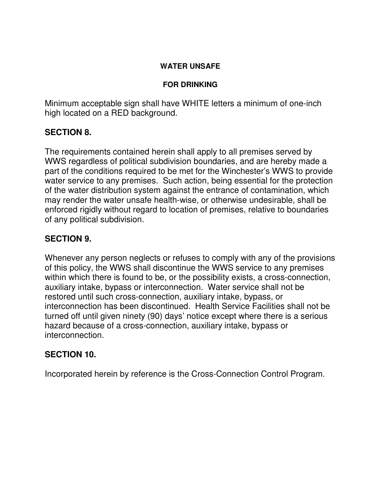#### **WATER UNSAFE**

#### **FOR DRINKING**

Minimum acceptable sign shall have WHITE letters a minimum of one-inch high located on a RED background.

### **SECTION 8.**

The requirements contained herein shall apply to all premises served by WWS regardless of political subdivision boundaries, and are hereby made a part of the conditions required to be met for the Winchester's WWS to provide water service to any premises. Such action, being essential for the protection of the water distribution system against the entrance of contamination, which may render the water unsafe health-wise, or otherwise undesirable, shall be enforced rigidly without regard to location of premises, relative to boundaries of any political subdivision.

### **SECTION 9.**

Whenever any person neglects or refuses to comply with any of the provisions of this policy, the WWS shall discontinue the WWS service to any premises within which there is found to be, or the possibility exists, a cross-connection, auxiliary intake, bypass or interconnection. Water service shall not be restored until such cross-connection, auxiliary intake, bypass, or interconnection has been discontinued. Health Service Facilities shall not be turned off until given ninety (90) days' notice except where there is a serious hazard because of a cross-connection, auxiliary intake, bypass or interconnection.

### **SECTION 10.**

Incorporated herein by reference is the Cross-Connection Control Program.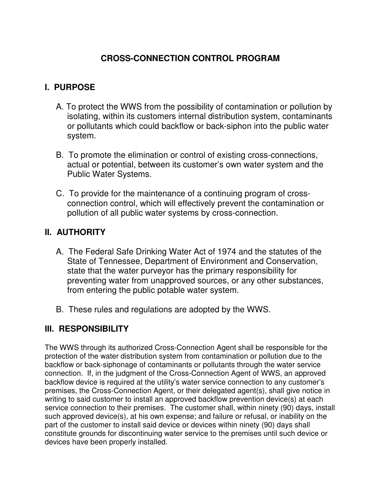## **CROSS-CONNECTION CONTROL PROGRAM**

### **I. PURPOSE**

- A. To protect the WWS from the possibility of contamination or pollution by isolating, within its customers internal distribution system, contaminants or pollutants which could backflow or back-siphon into the public water system.
- B. To promote the elimination or control of existing cross-connections, actual or potential, between its customer's own water system and the Public Water Systems.
- C. To provide for the maintenance of a continuing program of crossconnection control, which will effectively prevent the contamination or pollution of all public water systems by cross-connection.

### **II. AUTHORITY**

- A. The Federal Safe Drinking Water Act of 1974 and the statutes of the State of Tennessee, Department of Environment and Conservation, state that the water purveyor has the primary responsibility for preventing water from unapproved sources, or any other substances, from entering the public potable water system.
- B. These rules and regulations are adopted by the WWS.

### **III. RESPONSIBILITY**

The WWS through its authorized Cross-Connection Agent shall be responsible for the protection of the water distribution system from contamination or pollution due to the backflow or back-siphonage of contaminants or pollutants through the water service connection. If, in the judgment of the Cross-Connection Agent of WWS, an approved backflow device is required at the utility's water service connection to any customer's premises, the Cross-Connection Agent, or their delegated agent(s), shall give notice in writing to said customer to install an approved backflow prevention device(s) at each service connection to their premises. The customer shall, within ninety (90) days, install such approved device(s), at his own expense; and failure or refusal, or inability on the part of the customer to install said device or devices within ninety (90) days shall constitute grounds for discontinuing water service to the premises until such device or devices have been properly installed.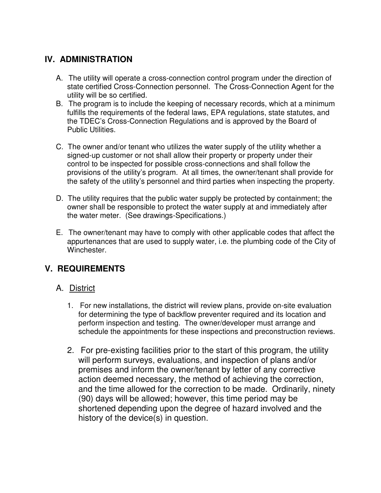# **IV. ADMINISTRATION**

- A. The utility will operate a cross-connection control program under the direction of state certified Cross-Connection personnel. The Cross-Connection Agent for the utility will be so certified.
- B. The program is to include the keeping of necessary records, which at a minimum fulfills the requirements of the federal laws, EPA regulations, state statutes, and the TDEC's Cross-Connection Regulations and is approved by the Board of Public Utilities.
- C. The owner and/or tenant who utilizes the water supply of the utility whether a signed-up customer or not shall allow their property or property under their control to be inspected for possible cross-connections and shall follow the provisions of the utility's program. At all times, the owner/tenant shall provide for the safety of the utility's personnel and third parties when inspecting the property.
- D. The utility requires that the public water supply be protected by containment; the owner shall be responsible to protect the water supply at and immediately after the water meter. (See drawings-Specifications.)
- E. The owner/tenant may have to comply with other applicable codes that affect the appurtenances that are used to supply water, i.e. the plumbing code of the City of Winchester.

## **V. REQUIREMENTS**

### A. District

- 1. For new installations, the district will review plans, provide on-site evaluation for determining the type of backflow preventer required and its location and perform inspection and testing. The owner/developer must arrange and schedule the appointments for these inspections and preconstruction reviews.
- 2. For pre-existing facilities prior to the start of this program, the utility will perform surveys, evaluations, and inspection of plans and/or premises and inform the owner/tenant by letter of any corrective action deemed necessary, the method of achieving the correction, and the time allowed for the correction to be made. Ordinarily, ninety (90) days will be allowed; however, this time period may be shortened depending upon the degree of hazard involved and the history of the device(s) in question.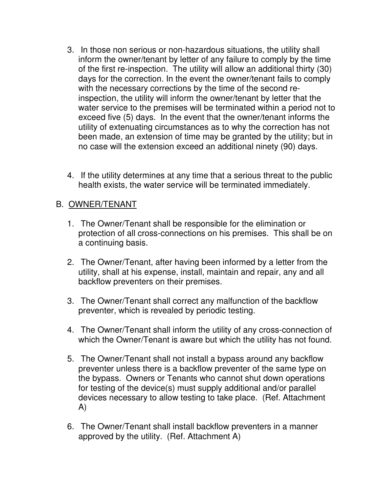- 3. In those non serious or non-hazardous situations, the utility shall inform the owner/tenant by letter of any failure to comply by the time of the first re-inspection. The utility will allow an additional thirty (30) days for the correction. In the event the owner/tenant fails to comply with the necessary corrections by the time of the second reinspection, the utility will inform the owner/tenant by letter that the water service to the premises will be terminated within a period not to exceed five (5) days. In the event that the owner/tenant informs the utility of extenuating circumstances as to why the correction has not been made, an extension of time may be granted by the utility; but in no case will the extension exceed an additional ninety (90) days.
- 4. If the utility determines at any time that a serious threat to the public health exists, the water service will be terminated immediately.

## B. OWNER/TENANT

- 1. The Owner/Tenant shall be responsible for the elimination or protection of all cross-connections on his premises. This shall be on a continuing basis.
- 2. The Owner/Tenant, after having been informed by a letter from the utility, shall at his expense, install, maintain and repair, any and all backflow preventers on their premises.
- 3. The Owner/Tenant shall correct any malfunction of the backflow preventer, which is revealed by periodic testing.
- 4. The Owner/Tenant shall inform the utility of any cross-connection of which the Owner/Tenant is aware but which the utility has not found.
- 5. The Owner/Tenant shall not install a bypass around any backflow preventer unless there is a backflow preventer of the same type on the bypass. Owners or Tenants who cannot shut down operations for testing of the device(s) must supply additional and/or parallel devices necessary to allow testing to take place. (Ref. Attachment A)
- 6. The Owner/Tenant shall install backflow preventers in a manner approved by the utility. (Ref. Attachment A)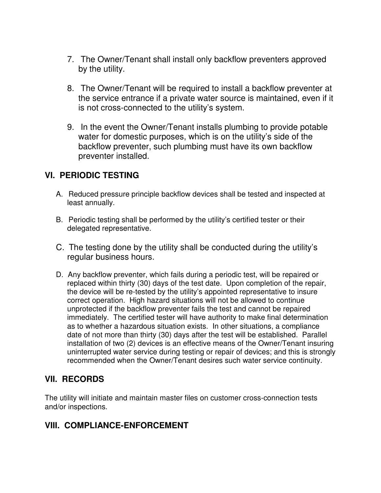- 7. The Owner/Tenant shall install only backflow preventers approved by the utility.
- 8. The Owner/Tenant will be required to install a backflow preventer at the service entrance if a private water source is maintained, even if it is not cross-connected to the utility's system.
- 9. In the event the Owner/Tenant installs plumbing to provide potable water for domestic purposes, which is on the utility's side of the backflow preventer, such plumbing must have its own backflow preventer installed.

### **VI. PERIODIC TESTING**

- A. Reduced pressure principle backflow devices shall be tested and inspected at least annually.
- B. Periodic testing shall be performed by the utility's certified tester or their delegated representative.
- C. The testing done by the utility shall be conducted during the utility's regular business hours.
- D. Any backflow preventer, which fails during a periodic test, will be repaired or replaced within thirty (30) days of the test date. Upon completion of the repair, the device will be re-tested by the utility's appointed representative to insure correct operation. High hazard situations will not be allowed to continue unprotected if the backflow preventer fails the test and cannot be repaired immediately. The certified tester will have authority to make final determination as to whether a hazardous situation exists. In other situations, a compliance date of not more than thirty (30) days after the test will be established. Parallel installation of two (2) devices is an effective means of the Owner/Tenant insuring uninterrupted water service during testing or repair of devices; and this is strongly recommended when the Owner/Tenant desires such water service continuity.

### **VII. RECORDS**

The utility will initiate and maintain master files on customer cross-connection tests and/or inspections.

## **VIII. COMPLIANCE-ENFORCEMENT**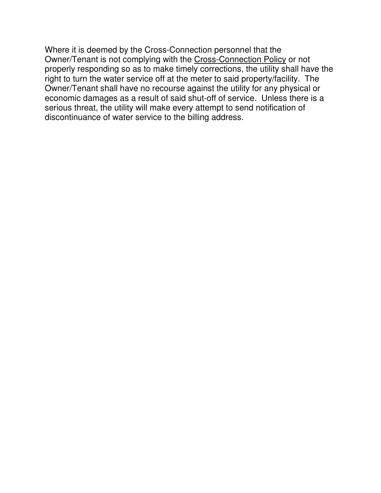Where it is deemed by the Cross-Connection personnel that the Owner/Tenant is not complying with the Cross-Connection Policy or not properly responding so as to make timely corrections, the utility shall have the right to turn the water service off at the meter to said property/facility. The Owner/Tenant shall have no recourse against the utility for any physical or economic damages as a result of said shut-off of service. Unless there is a serious threat, the utility will make every attempt to send notification of discontinuance of water service to the billing address.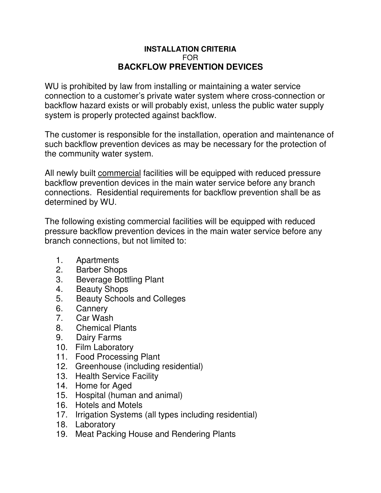#### **INSTALLATION CRITERIA** FOR **BACKFLOW PREVENTION DEVICES**

WU is prohibited by law from installing or maintaining a water service connection to a customer's private water system where cross-connection or backflow hazard exists or will probably exist, unless the public water supply system is properly protected against backflow.

The customer is responsible for the installation, operation and maintenance of such backflow prevention devices as may be necessary for the protection of the community water system.

All newly built commercial facilities will be equipped with reduced pressure backflow prevention devices in the main water service before any branch connections. Residential requirements for backflow prevention shall be as determined by WU.

The following existing commercial facilities will be equipped with reduced pressure backflow prevention devices in the main water service before any branch connections, but not limited to:

- 1. Apartments
- 2. Barber Shops
- 3. Beverage Bottling Plant
- 4. Beauty Shops
- 5. Beauty Schools and Colleges
- 6. Cannery
- 7. Car Wash
- 8. Chemical Plants
- 9. Dairy Farms
- 10. Film Laboratory
- 11. Food Processing Plant
- 12. Greenhouse (including residential)
- 13. Health Service Facility
- 14. Home for Aged
- 15. Hospital (human and animal)
- 16. Hotels and Motels
- 17. Irrigation Systems (all types including residential)
- 18. Laboratory
- 19. Meat Packing House and Rendering Plants